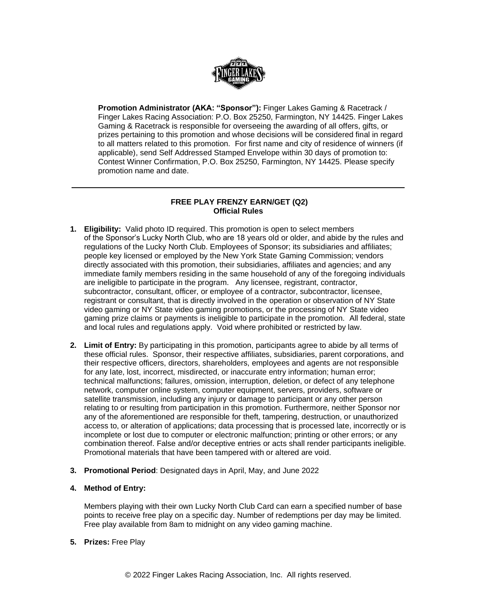

**Promotion Administrator (AKA: "Sponsor"):** Finger Lakes Gaming & Racetrack / Finger Lakes Racing Association: P.O. Box 25250, Farmington, NY 14425. Finger Lakes Gaming & Racetrack is responsible for overseeing the awarding of all offers, gifts, or prizes pertaining to this promotion and whose decisions will be considered final in regard to all matters related to this promotion. For first name and city of residence of winners (if applicable), send Self Addressed Stamped Envelope within 30 days of promotion to: Contest Winner Confirmation, P.O. Box 25250, Farmington, NY 14425. Please specify promotion name and date.

## **FREE PLAY FRENZY EARN/GET (Q2) Official Rules**

- **1. Eligibility:** Valid photo ID required. This promotion is open to select members of the Sponsor's Lucky North Club, who are 18 years old or older, and abide by the rules and regulations of the Lucky North Club. Employees of Sponsor; its subsidiaries and affiliates; people key licensed or employed by the New York State Gaming Commission; vendors directly associated with this promotion, their subsidiaries, affiliates and agencies; and any immediate family members residing in the same household of any of the foregoing individuals are ineligible to participate in the program. Any licensee, registrant, contractor, subcontractor, consultant, officer, or employee of a contractor, subcontractor, licensee, registrant or consultant, that is directly involved in the operation or observation of NY State video gaming or NY State video gaming promotions, or the processing of NY State video gaming prize claims or payments is ineligible to participate in the promotion. All federal, state and local rules and regulations apply. Void where prohibited or restricted by law.
- **2. Limit of Entry:** By participating in this promotion, participants agree to abide by all terms of these official rules. Sponsor, their respective affiliates, subsidiaries, parent corporations, and their respective officers, directors, shareholders, employees and agents are not responsible for any late, lost, incorrect, misdirected, or inaccurate entry information; human error; technical malfunctions; failures, omission, interruption, deletion, or defect of any telephone network, computer online system, computer equipment, servers, providers, software or satellite transmission, including any injury or damage to participant or any other person relating to or resulting from participation in this promotion. Furthermore, neither Sponsor nor any of the aforementioned are responsible for theft, tampering, destruction, or unauthorized access to, or alteration of applications; data processing that is processed late, incorrectly or is incomplete or lost due to computer or electronic malfunction; printing or other errors; or any combination thereof. False and/or deceptive entries or acts shall render participants ineligible. Promotional materials that have been tampered with or altered are void.
- **3. Promotional Period**: Designated days in April, May, and June 2022
- **4. Method of Entry:**

Members playing with their own Lucky North Club Card can earn a specified number of base points to receive free play on a specific day. Number of redemptions per day may be limited. Free play available from 8am to midnight on any video gaming machine.

**5. Prizes:** Free Play